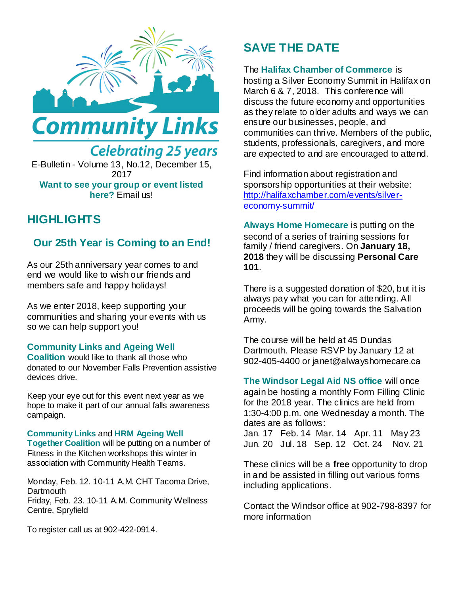



**Want to see your group or event listed here?** Email us!

# **HIGHLIGHTS**

## **Our 25th Year is Coming to an End!**

As our 25th anniversary year comes to and end we would like to wish our friends and members safe and happy holidays!

As we enter 2018, keep supporting your communities and sharing your events with us so we can help support you!

### **Community Links and Ageing Well**

**Coalition** would like to thank all those who donated to our November Falls Prevention assistive devices drive.

Keep your eye out for this event next year as we hope to make it part of our annual falls awareness campaign.

### **Community Links** and **HRM Ageing Well**

**Together Coalition** will be putting on a number of Fitness in the Kitchen workshops this winter in association with Community Health Teams.

Monday, Feb. 12. 10-11 A.M. CHT Tacoma Drive, **Dartmouth** Friday, Feb. 23. 10-11 A.M. Community Wellness Centre, Spryfield

To register call us at 902-422-0914.

# **SAVE THE DATE**

### The **Halifax Chamber of Commerce** is

hosting a Silver Economy Summit in Halifax on March 6 & 7, 2018. This conference will discuss the future economy and opportunities as they relate to older adults and ways we can ensure our businesses, people, and communities can thrive. Members of the public, students, professionals, caregivers, and more are expected to and are encouraged to attend.

Find information about registration and sponsorship opportunities at their website: [http://halifaxchamber.com/events/silver](http://halifaxchamber.com/events/silver-economy-summit/)[economy-summit/](http://halifaxchamber.com/events/silver-economy-summit/) 

**Always Home Homecare** is putting on the second of a series of training sessions for family / friend caregivers. On **January 18, 2018** they will be discussing **Personal Care 101**.

There is a suggested donation of \$20, but it is always pay what you can for attending. All proceeds will be going towards the Salvation Army.

The course will be held at 45 Dundas Dartmouth. Please RSVP by January 12 at 902-405-4400 or janet@alwayshomecare.ca

### **The Windsor Legal Aid NS office** will once

again be hosting a monthly Form Filling Clinic for the 2018 year. The clinics are held from 1:30-4:00 p.m. one Wednesday a month. The dates are as follows:

Jan. 17 Feb. 14 Mar. 14 Apr. 11 May 23 Jun. 20 Jul. 18 Sep. 12 Oct. 24 Nov. 21

These clinics will be a **free** opportunity to drop in and be assisted in filling out various forms including applications.

Contact the Windsor office at 902-798-8397 for more information